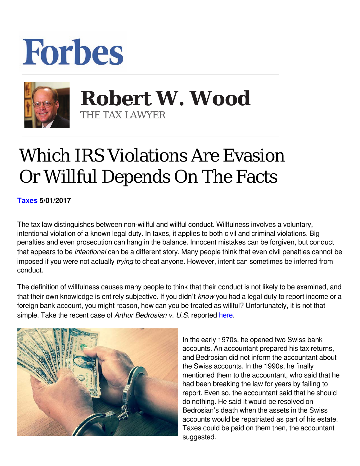## **Forbes**



 **Robert W. Wood** THE TAX LAWYER

## Which IRS Violations Are Evasion Or Willful Depends On The Facts

**[Taxes](https://www.forbes.com/taxes) 5/01/2017** 

The tax law distinguishes between non-willful and willful conduct. Willfulness involves a voluntary, intentional violation of a known legal duty. In taxes, it applies to both civil and criminal violations. Big penalties and even prosecution can hang in the balance. Innocent mistakes can be forgiven, but conduct that appears to be *intentional* can be a different story. Many people think that even civil penalties cannot be imposed if you were not actually *trying* to cheat anyone. However, intent can sometimes be inferred from conduct.

The definition of willfulness causes many people to think that their conduct is not likely to be examined, and that their own knowledge is entirely subjective. If you didn't *know* you had a legal duty to report income or a foreign bank account, you might reason, how can you be treated as willful? Unfortunately, it is not that simple. Take the recent case of *Arthur Bedrosian v. U.S.* reported here.



In the early 1970s, he opened two Swiss bank accounts. An accountant prepared his tax returns, and Bedrosian did not inform the accountant about the Swiss accounts. In the 1990s, he finally mentioned them to the accountant, who said that he had been breaking the law for years by failing to report. Even so, the accountant said that he should do nothing. He said it would be resolved on Bedrosian's death when the assets in the Swiss accounts would be repatriated as part of his estate. Taxes could be paid on them then, the accountant suggested.